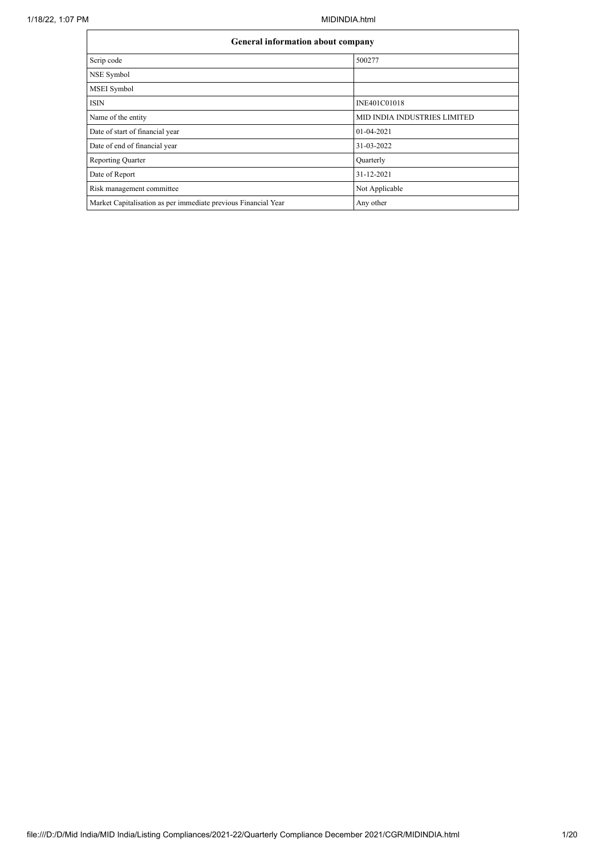|                                                                | <b>General information about company</b> |  |  |  |  |  |  |  |
|----------------------------------------------------------------|------------------------------------------|--|--|--|--|--|--|--|
| Scrip code                                                     | 500277                                   |  |  |  |  |  |  |  |
| NSE Symbol                                                     |                                          |  |  |  |  |  |  |  |
| MSEI Symbol                                                    |                                          |  |  |  |  |  |  |  |
| <b>ISIN</b>                                                    | INE401C01018                             |  |  |  |  |  |  |  |
| Name of the entity                                             | <b>MID INDIA INDUSTRIES LIMITED</b>      |  |  |  |  |  |  |  |
| Date of start of financial year                                | 01-04-2021                               |  |  |  |  |  |  |  |
| Date of end of financial year                                  | 31-03-2022                               |  |  |  |  |  |  |  |
| <b>Reporting Quarter</b>                                       | Quarterly                                |  |  |  |  |  |  |  |
| Date of Report                                                 | 31-12-2021                               |  |  |  |  |  |  |  |
| Risk management committee                                      | Not Applicable                           |  |  |  |  |  |  |  |
| Market Capitalisation as per immediate previous Financial Year | Any other                                |  |  |  |  |  |  |  |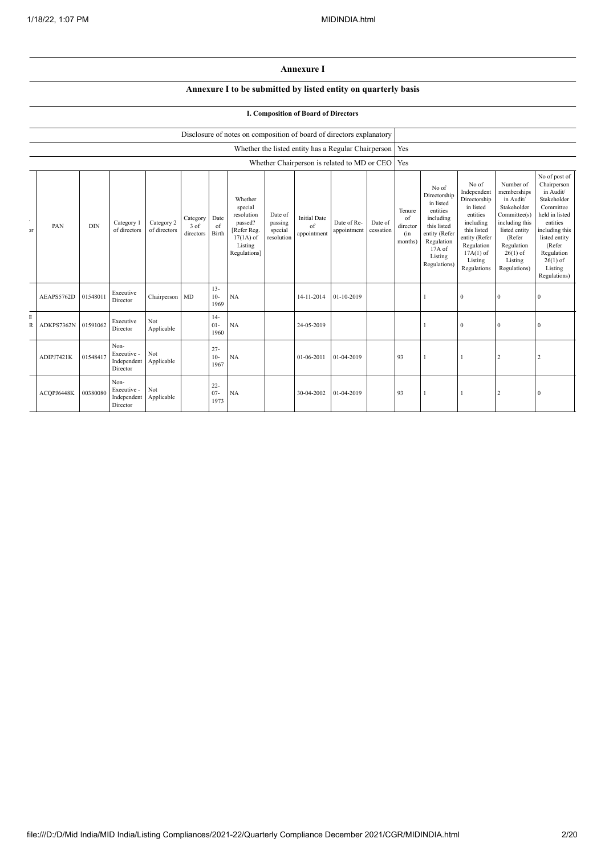## **Annexure I**

## **Annexure I to be submitted by listed entity on quarterly basis**

## **I. Composition of Board of Directors**

|                             |            | Disclosure of notes on composition of board of directors explanatory |                                                |                            |                               |                          |                                                                                                      |                                             |                                          |                                                     |                      |                                            |                                                                                                                                                |                                                                                                                                                                   |                                                                                                                                                                          |                                                                                                                                                                                                         |
|-----------------------------|------------|----------------------------------------------------------------------|------------------------------------------------|----------------------------|-------------------------------|--------------------------|------------------------------------------------------------------------------------------------------|---------------------------------------------|------------------------------------------|-----------------------------------------------------|----------------------|--------------------------------------------|------------------------------------------------------------------------------------------------------------------------------------------------|-------------------------------------------------------------------------------------------------------------------------------------------------------------------|--------------------------------------------------------------------------------------------------------------------------------------------------------------------------|---------------------------------------------------------------------------------------------------------------------------------------------------------------------------------------------------------|
|                             |            |                                                                      |                                                |                            |                               |                          |                                                                                                      |                                             |                                          | Whether the listed entity has a Regular Chairperson |                      | Yes                                        |                                                                                                                                                |                                                                                                                                                                   |                                                                                                                                                                          |                                                                                                                                                                                                         |
|                             |            | Whether Chairperson is related to MD or CEO                          |                                                |                            |                               |                          |                                                                                                      |                                             | Yes                                      |                                                     |                      |                                            |                                                                                                                                                |                                                                                                                                                                   |                                                                                                                                                                          |                                                                                                                                                                                                         |
| $\epsilon$<br>$\mathcal{F}$ | PAN        | <b>DIN</b>                                                           | Category 1<br>of directors                     | Category 2<br>of directors | Category<br>3 of<br>directors | Date<br>of<br>Birth      | Whether<br>special<br>resolution<br>passed?<br>[Refer Reg.<br>$17(1A)$ of<br>Listing<br>Regulations] | Date of<br>passing<br>special<br>resolution | <b>Initial Date</b><br>of<br>appointment | Date of Re-<br>appointment                          | Date of<br>cessation | Tenure<br>of<br>director<br>(in<br>months) | No of<br>Directorship<br>in listed<br>entities<br>including<br>this listed<br>entity (Refer<br>Regulation<br>17A of<br>Listing<br>Regulations) | No of<br>Independent<br>Directorship<br>in listed<br>entities<br>including<br>this listed<br>entity (Refer<br>Regulation<br>$17A(1)$ of<br>Listing<br>Regulations | Number of<br>memberships<br>in Audit/<br>Stakeholder<br>Committee(s)<br>including this<br>listed entity<br>(Refer<br>Regulation<br>$26(1)$ of<br>Listing<br>Regulations) | No of post of<br>Chairperson<br>in Audit/<br>Stakeholder<br>Committee<br>held in listed<br>entities<br>including this<br>listed entity<br>(Refer<br>Regulation<br>$26(1)$ of<br>Listing<br>Regulations) |
|                             | AEAPS5762D | 01548011                                                             | Executive<br>Director                          | Chairperson MD             |                               | $13 -$<br>$10-$<br>1969  | NA                                                                                                   |                                             | 14-11-2014                               | $01 - 10 - 2019$                                    |                      |                                            |                                                                                                                                                | $\Omega$                                                                                                                                                          | $\Omega$                                                                                                                                                                 | $\Omega$                                                                                                                                                                                                |
| T<br>$\overline{R}$         | ADKPS7362N | 01591062                                                             | Executive<br>Director                          | Not<br>Applicable          |                               | $14-$<br>$01 -$<br>1960  | NA                                                                                                   |                                             | 24-05-2019                               |                                                     |                      |                                            |                                                                                                                                                | $\mathbf{0}$                                                                                                                                                      | $\Omega$                                                                                                                                                                 | $\Omega$                                                                                                                                                                                                |
|                             | ADIPJ7421K | 01548417                                                             | Non-<br>Executive -<br>Independent<br>Director | Not<br>Applicable          |                               | $27 -$<br>$10-$<br>1967  | NA                                                                                                   |                                             | 01-06-2011                               | 01-04-2019                                          |                      | 93                                         |                                                                                                                                                |                                                                                                                                                                   | $\overline{2}$                                                                                                                                                           | $\overline{2}$                                                                                                                                                                                          |
|                             | ACQPJ6448K | 00380080                                                             | Non-<br>Executive -<br>Independent<br>Director | Not<br>Applicable          |                               | $22 -$<br>$07 -$<br>1973 | NA                                                                                                   |                                             | 30-04-2002                               | 01-04-2019                                          |                      | 93                                         |                                                                                                                                                |                                                                                                                                                                   | 2                                                                                                                                                                        | $\mathbf{0}$                                                                                                                                                                                            |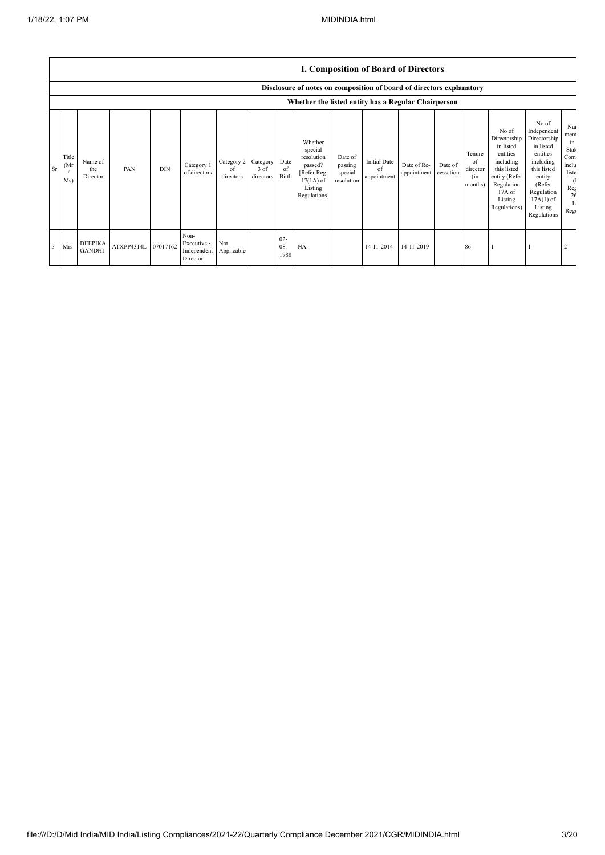|    |                      |                                 |                     |            |                                                |                               |                               |                          |                                                                                                      |                                             | <b>I. Composition of Board of Directors</b> |                            |                      |                                            |                                                                                                                                                |                                                                                                                                                                      |                                                                              |
|----|----------------------|---------------------------------|---------------------|------------|------------------------------------------------|-------------------------------|-------------------------------|--------------------------|------------------------------------------------------------------------------------------------------|---------------------------------------------|---------------------------------------------|----------------------------|----------------------|--------------------------------------------|------------------------------------------------------------------------------------------------------------------------------------------------|----------------------------------------------------------------------------------------------------------------------------------------------------------------------|------------------------------------------------------------------------------|
|    |                      |                                 |                     |            |                                                |                               |                               |                          | Disclosure of notes on composition of board of directors explanatory                                 |                                             |                                             |                            |                      |                                            |                                                                                                                                                |                                                                                                                                                                      |                                                                              |
|    |                      |                                 |                     |            |                                                |                               |                               |                          | Whether the listed entity has a Regular Chairperson                                                  |                                             |                                             |                            |                      |                                            |                                                                                                                                                |                                                                                                                                                                      |                                                                              |
| Sr | Title<br>(Mr)<br>Ms) | Name of<br>the<br>Director      | PAN                 | <b>DIN</b> | Category 1<br>of directors                     | Category 2<br>of<br>directors | Category<br>3 of<br>directors | Date<br>of<br>Birth      | Whether<br>special<br>resolution<br>passed?<br>[Refer Reg.<br>$17(1A)$ of<br>Listing<br>Regulations] | Date of<br>passing<br>special<br>resolution | <b>Initial Date</b><br>of<br>appointment    | Date of Re-<br>appointment | Date of<br>cessation | Tenure<br>of<br>director<br>(in<br>months) | No of<br>Directorship<br>in listed<br>entities<br>including<br>this listed<br>entity (Refer<br>Regulation<br>17A of<br>Listing<br>Regulations) | No of<br>Independent<br>Directorship<br>in listed<br>entities<br>including<br>this listed<br>entity<br>(Refer<br>Regulation<br>$17A(1)$ of<br>Listing<br>Regulations | Nui<br>mem<br>ın<br>Stak<br>Com<br>inclu<br>liste<br>-0<br>Reg<br>26<br>Regu |
| 5  | Mrs                  | <b>DEEPIKA</b><br><b>GANDHI</b> | ATXPP4314L 07017162 |            | Non-<br>Executive -<br>Independent<br>Director | Not<br>Applicable             |                               | $02 -$<br>$08 -$<br>1988 | NA                                                                                                   |                                             | 14-11-2014                                  | 14-11-2019                 |                      | 86                                         |                                                                                                                                                |                                                                                                                                                                      |                                                                              |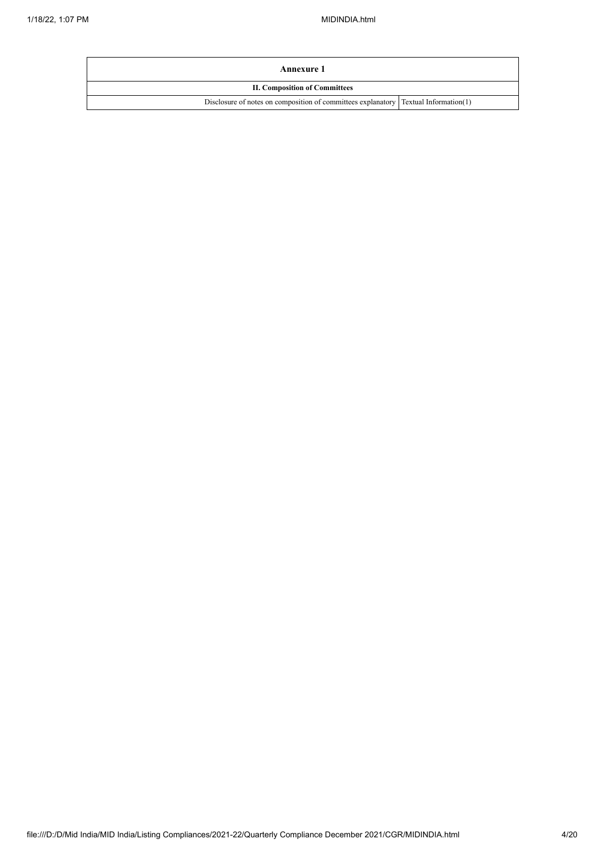| Annexure 1                                                                          |  |
|-------------------------------------------------------------------------------------|--|
| <b>II. Composition of Committees</b>                                                |  |
| Disclosure of notes on composition of committees explanatory Textual Information(1) |  |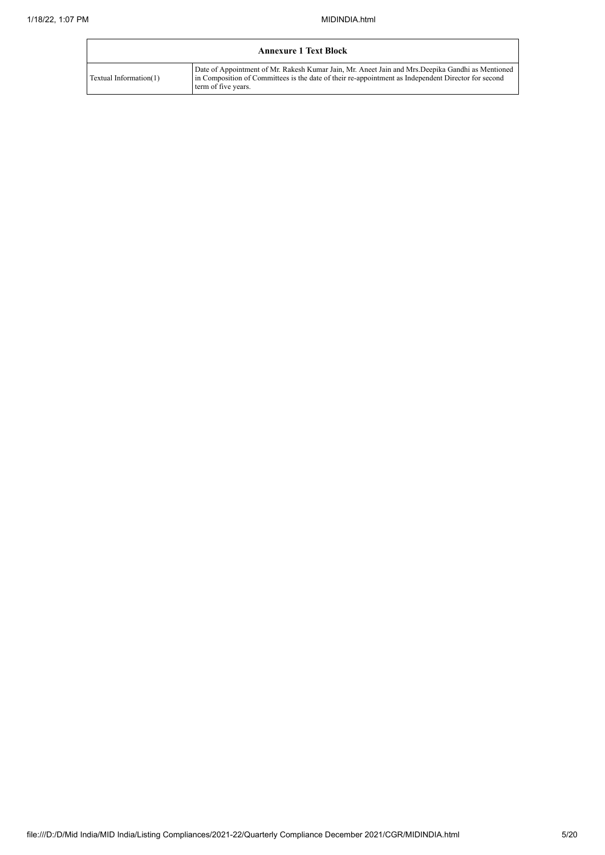| <b>Annexure 1 Text Block</b> |                                                                                                                                                                                                                                 |  |  |  |  |  |  |  |
|------------------------------|---------------------------------------------------------------------------------------------------------------------------------------------------------------------------------------------------------------------------------|--|--|--|--|--|--|--|
| Textual Information(1)       | Date of Appointment of Mr. Rakesh Kumar Jain, Mr. Aneet Jain and Mrs. Deepika Gandhi as Mentioned<br>In Composition of Committees is the date of their re-appointment as Independent Director for second<br>term of five years. |  |  |  |  |  |  |  |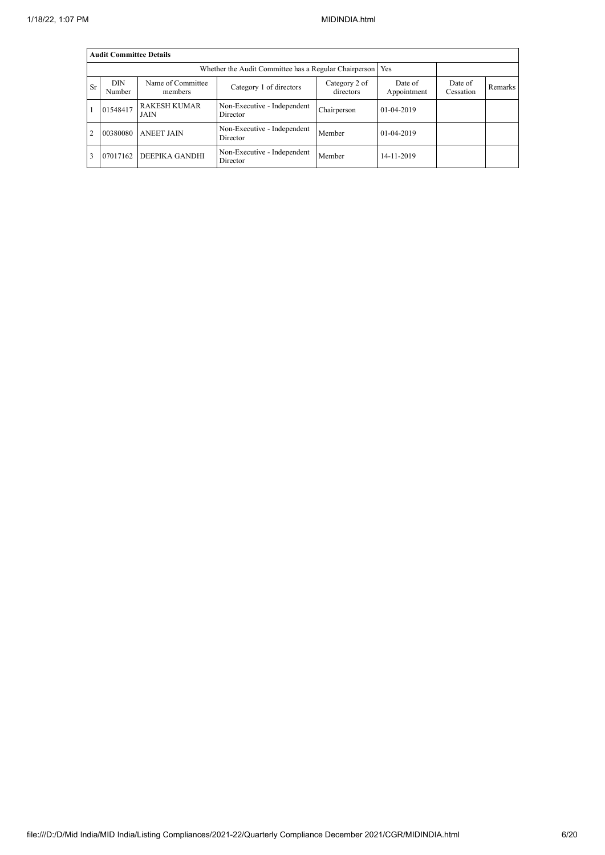|                | <b>Audit Committee Details</b> |                                    |                                                       |             |            |  |  |  |  |  |  |
|----------------|--------------------------------|------------------------------------|-------------------------------------------------------|-------------|------------|--|--|--|--|--|--|
|                |                                |                                    | Whether the Audit Committee has a Regular Chairperson |             | Yes        |  |  |  |  |  |  |
| <b>Sr</b>      | <b>DIN</b><br>Number           | Date of<br>Cessation               | Remarks                                               |             |            |  |  |  |  |  |  |
|                | 01548417                       | <b>RAKESH KUMAR</b><br><b>JAIN</b> | Non-Executive - Independent<br>Director               | Chairperson | 01-04-2019 |  |  |  |  |  |  |
| $\overline{2}$ | 00380080                       | <b>ANEET JAIN</b>                  | Non-Executive - Independent<br>Director               | Member      | 01-04-2019 |  |  |  |  |  |  |
|                | 07017162                       | DEEPIKA GANDHI                     | Non-Executive - Independent<br>Director               | Member      | 14-11-2019 |  |  |  |  |  |  |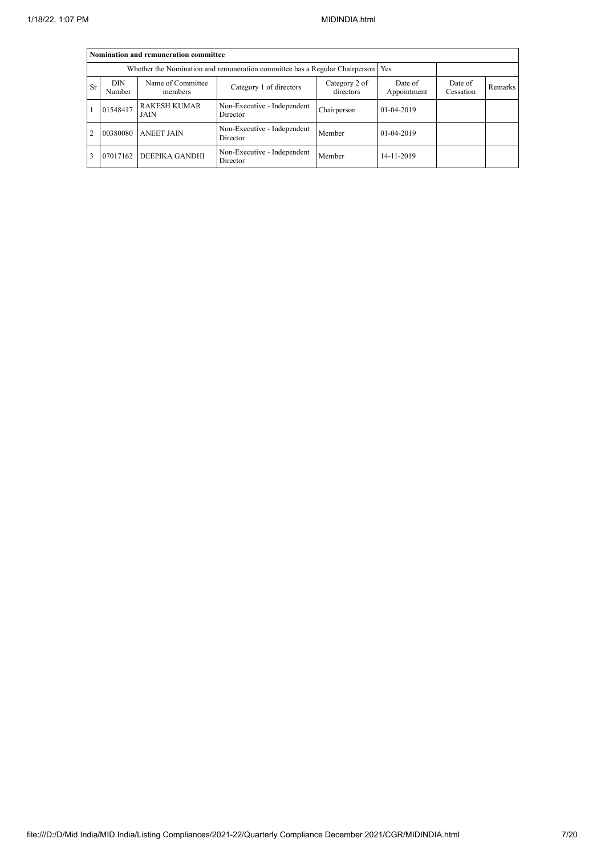|           | Nomination and remuneration committee                                       |                              |                                         |                      |            |  |  |  |  |  |  |
|-----------|-----------------------------------------------------------------------------|------------------------------|-----------------------------------------|----------------------|------------|--|--|--|--|--|--|
|           | Whether the Nomination and remuneration committee has a Regular Chairperson |                              |                                         |                      |            |  |  |  |  |  |  |
| <b>Sr</b> | <b>DIN</b><br>Number                                                        | Name of Committee<br>members | Date of<br>Appointment                  | Date of<br>Cessation | Remarks    |  |  |  |  |  |  |
|           | 01548417                                                                    | <b>RAKESH KUMAR</b><br>JAIN  | Non-Executive - Independent<br>Director | Chairperson          | 01-04-2019 |  |  |  |  |  |  |
| 2         | 00380080                                                                    | <b>ANEET JAIN</b>            | Non-Executive - Independent<br>Director | Member               | 01-04-2019 |  |  |  |  |  |  |
|           | 07017162                                                                    | DEEPIKA GANDHI               | Non-Executive - Independent<br>Director | Member               | 14-11-2019 |  |  |  |  |  |  |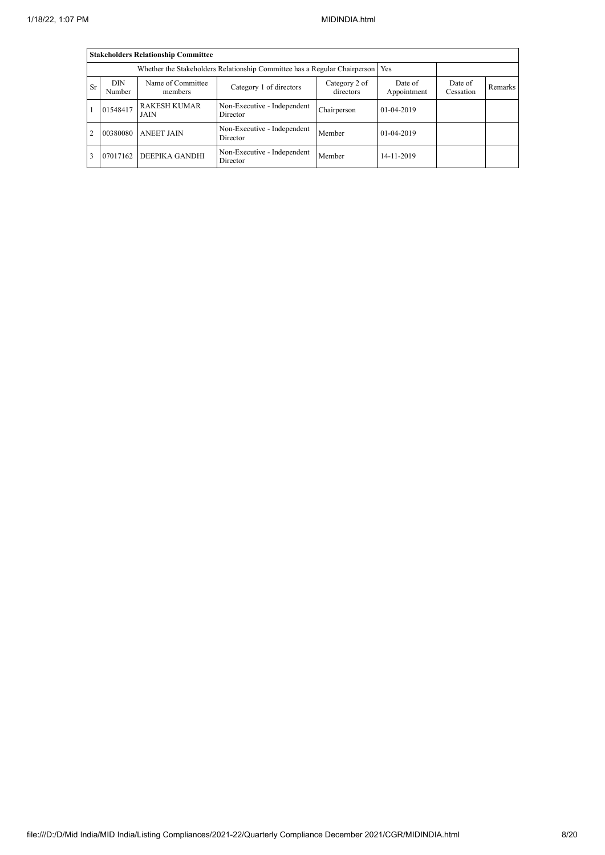|           | <b>Stakeholders Relationship Committee</b>                                       |                              |                                         |                      |              |  |  |  |  |  |  |
|-----------|----------------------------------------------------------------------------------|------------------------------|-----------------------------------------|----------------------|--------------|--|--|--|--|--|--|
|           | Whether the Stakeholders Relationship Committee has a Regular Chairperson<br>Yes |                              |                                         |                      |              |  |  |  |  |  |  |
| <b>Sr</b> | <b>DIN</b><br>Number                                                             | Name of Committee<br>members | Date of<br>Appointment                  | Date of<br>Cessation | Remarks      |  |  |  |  |  |  |
|           | 01548417                                                                         | <b>RAKESH KUMAR</b><br>JAIN  | Non-Executive - Independent<br>Director | Chairperson          | $01-04-2019$ |  |  |  |  |  |  |
| 2         | 00380080                                                                         | <b>ANEET JAIN</b>            | Non-Executive - Independent<br>Director | Member               | 01-04-2019   |  |  |  |  |  |  |
|           | 07017162                                                                         | DEEPIKA GANDHI               | Non-Executive - Independent<br>Director | Member               | 14-11-2019   |  |  |  |  |  |  |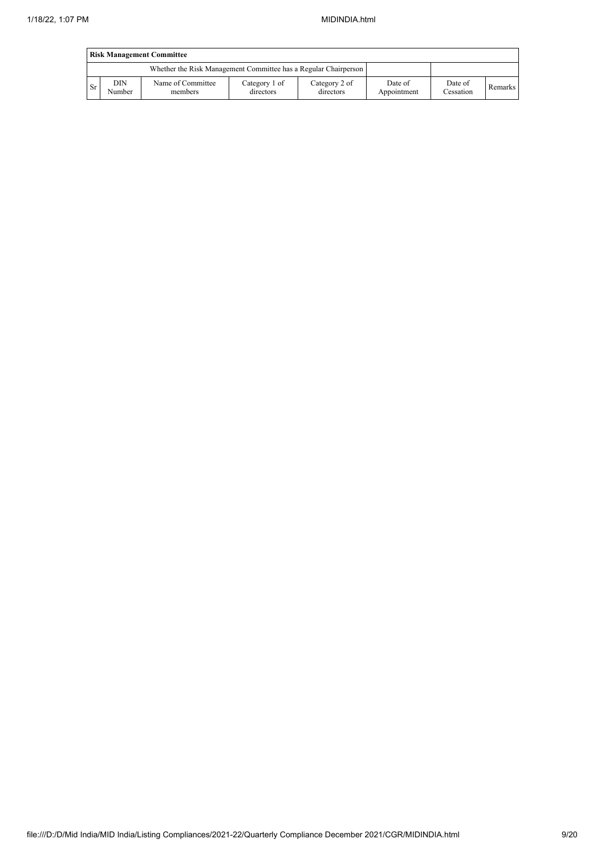|    | <b>Risk Management Committee</b> |                                                                 |                            |                            |                        |                      |         |  |  |  |
|----|----------------------------------|-----------------------------------------------------------------|----------------------------|----------------------------|------------------------|----------------------|---------|--|--|--|
|    |                                  | Whether the Risk Management Committee has a Regular Chairperson |                            |                            |                        |                      |         |  |  |  |
| Sr | DIN<br>Number                    | Name of Committee<br>members                                    | Category 1 of<br>directors | Category 2 of<br>directors | Date of<br>Appointment | Date of<br>Cessation | Remarks |  |  |  |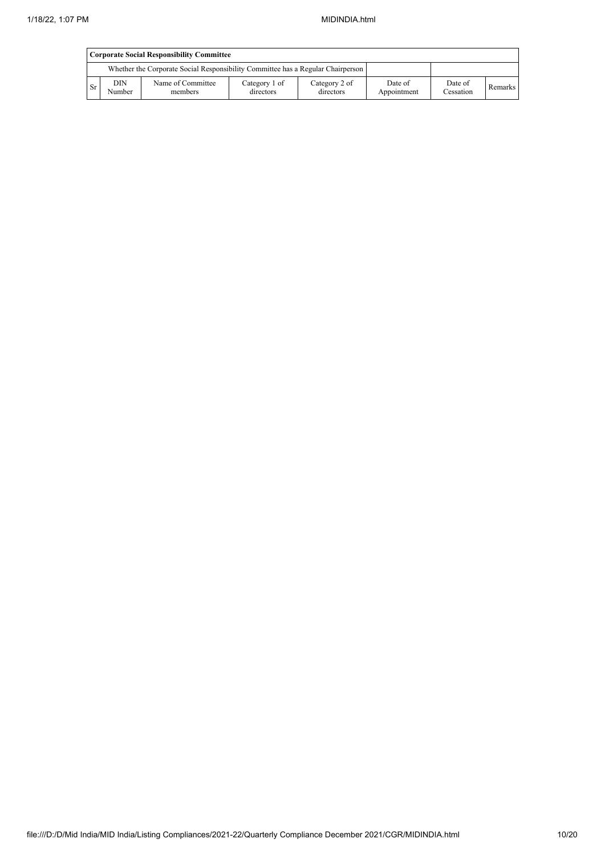|    | <b>Corporate Social Responsibility Committee</b> |                                                                                 |                      |         |  |  |  |  |  |  |  |
|----|--------------------------------------------------|---------------------------------------------------------------------------------|----------------------|---------|--|--|--|--|--|--|--|
|    |                                                  | Whether the Corporate Social Responsibility Committee has a Regular Chairperson |                      |         |  |  |  |  |  |  |  |
| Sr | <b>DIN</b><br>Number                             | Date of<br>Appointment                                                          | Date of<br>Cessation | Remarks |  |  |  |  |  |  |  |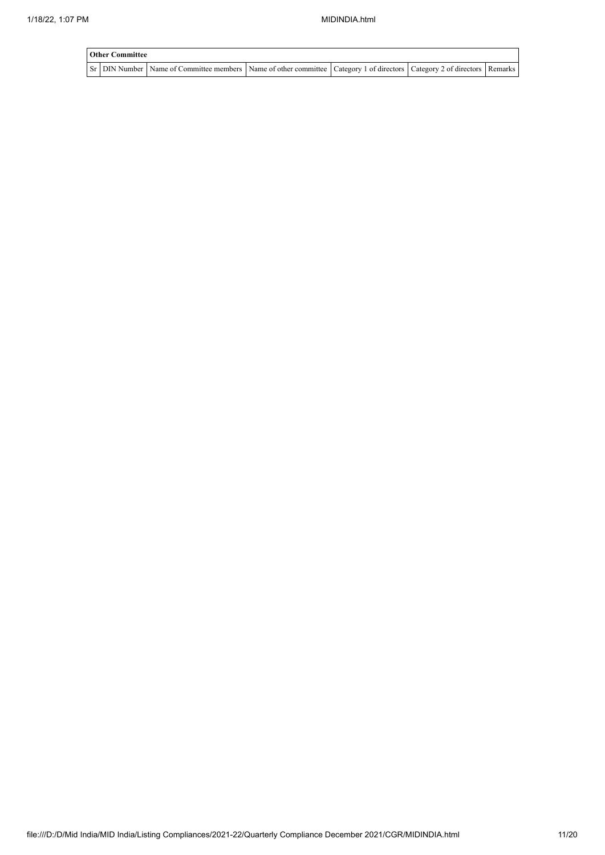| <b>Other Committee</b> |                                                                                                                                       |  |  |  |  |  |  |  |  |  |
|------------------------|---------------------------------------------------------------------------------------------------------------------------------------|--|--|--|--|--|--|--|--|--|
|                        | Sr   DIN Number   Name of Committee members   Name of other committee   Category 1 of directors   Category 2 of directors   Remarks ' |  |  |  |  |  |  |  |  |  |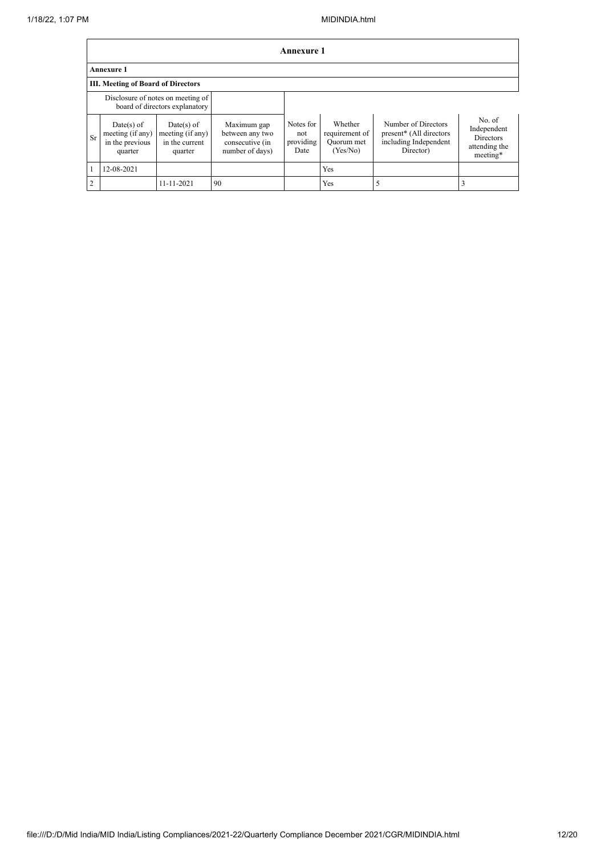|                | <b>Annexure 1</b>                                            |                                                                     |                                                                      |                                       |                                                     |                                                                                      |                                                                        |  |  |  |
|----------------|--------------------------------------------------------------|---------------------------------------------------------------------|----------------------------------------------------------------------|---------------------------------------|-----------------------------------------------------|--------------------------------------------------------------------------------------|------------------------------------------------------------------------|--|--|--|
|                | <b>Annexure 1</b>                                            |                                                                     |                                                                      |                                       |                                                     |                                                                                      |                                                                        |  |  |  |
|                | <b>III. Meeting of Board of Directors</b>                    |                                                                     |                                                                      |                                       |                                                     |                                                                                      |                                                                        |  |  |  |
|                |                                                              | Disclosure of notes on meeting of<br>board of directors explanatory |                                                                      |                                       |                                                     |                                                                                      |                                                                        |  |  |  |
| Sr             | Date(s) of<br>meeting (if any)<br>in the previous<br>quarter | $Date(s)$ of<br>meeting (if any)<br>in the current<br>quarter       | Maximum gap<br>between any two<br>consecutive (in<br>number of days) | Notes for<br>not<br>providing<br>Date | Whether<br>requirement of<br>Quorum met<br>(Yes/No) | Number of Directors<br>present* (All directors<br>including Independent<br>Director) | No. of<br>Independent<br><b>Directors</b><br>attending the<br>meeting* |  |  |  |
|                | 12-08-2021                                                   |                                                                     |                                                                      |                                       | Yes                                                 |                                                                                      |                                                                        |  |  |  |
| $\overline{2}$ |                                                              | 11-11-2021                                                          | 90                                                                   |                                       | Yes                                                 | 5                                                                                    |                                                                        |  |  |  |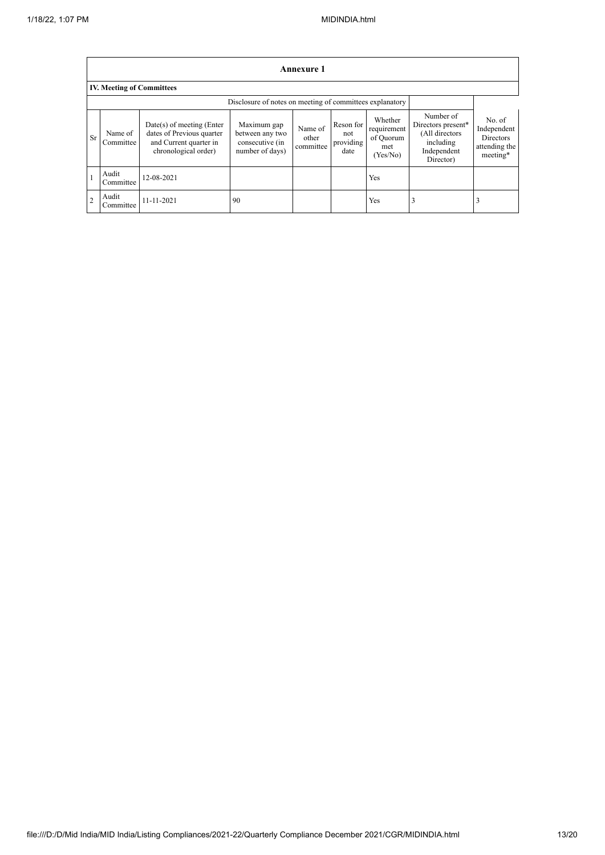$\blacksquare$ 

|               | Annexure 1                                               |                                                                                                            |                                                                      |                               |                                       |                                                        |                                                                                            |                                                                        |
|---------------|----------------------------------------------------------|------------------------------------------------------------------------------------------------------------|----------------------------------------------------------------------|-------------------------------|---------------------------------------|--------------------------------------------------------|--------------------------------------------------------------------------------------------|------------------------------------------------------------------------|
|               | <b>IV. Meeting of Committees</b>                         |                                                                                                            |                                                                      |                               |                                       |                                                        |                                                                                            |                                                                        |
|               | Disclosure of notes on meeting of committees explanatory |                                                                                                            |                                                                      |                               |                                       |                                                        |                                                                                            |                                                                        |
| Sr            | Name of<br>Committee                                     | $Date(s)$ of meeting (Enter<br>dates of Previous quarter<br>and Current quarter in<br>chronological order) | Maximum gap<br>between any two<br>consecutive (in<br>number of days) | Name of<br>other<br>committee | Reson for<br>not<br>providing<br>date | Whether<br>requirement<br>of Quorum<br>met<br>(Yes/No) | Number of<br>Directors present*<br>(All directors<br>including<br>Independent<br>Director) | No. of<br>Independent<br><b>Directors</b><br>attending the<br>meeting* |
|               | Audit<br>Committee                                       | 12-08-2021                                                                                                 |                                                                      |                               |                                       | Yes                                                    |                                                                                            |                                                                        |
| $\mathcal{D}$ | Audit<br>Committee                                       | 11-11-2021                                                                                                 | 90                                                                   |                               |                                       | Yes                                                    | 2                                                                                          | 3                                                                      |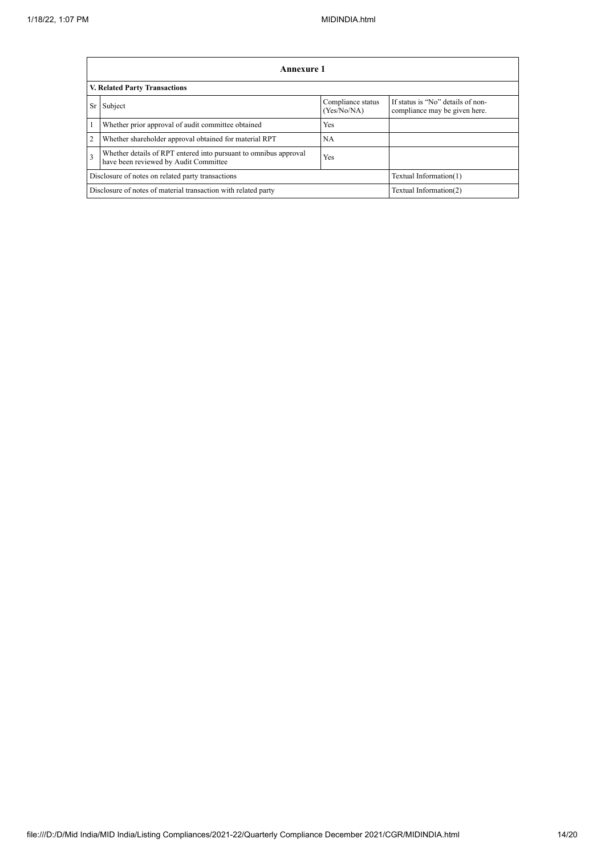|                                                                | Annexure 1                                                                                                |                                  |                                                                    |  |  |
|----------------------------------------------------------------|-----------------------------------------------------------------------------------------------------------|----------------------------------|--------------------------------------------------------------------|--|--|
|                                                                | <b>V. Related Party Transactions</b>                                                                      |                                  |                                                                    |  |  |
| <b>Sr</b>                                                      | Subject                                                                                                   | Compliance status<br>(Yes/No/NA) | If status is "No" details of non-<br>compliance may be given here. |  |  |
|                                                                | Whether prior approval of audit committee obtained                                                        | Yes                              |                                                                    |  |  |
| $\overline{2}$                                                 | Whether shareholder approval obtained for material RPT                                                    | <b>NA</b>                        |                                                                    |  |  |
| $\overline{3}$                                                 | Whether details of RPT entered into pursuant to omnibus approval<br>have been reviewed by Audit Committee | Yes                              |                                                                    |  |  |
|                                                                | Disclosure of notes on related party transactions                                                         |                                  | Textual Information(1)                                             |  |  |
| Disclosure of notes of material transaction with related party |                                                                                                           |                                  | Textual Information(2)                                             |  |  |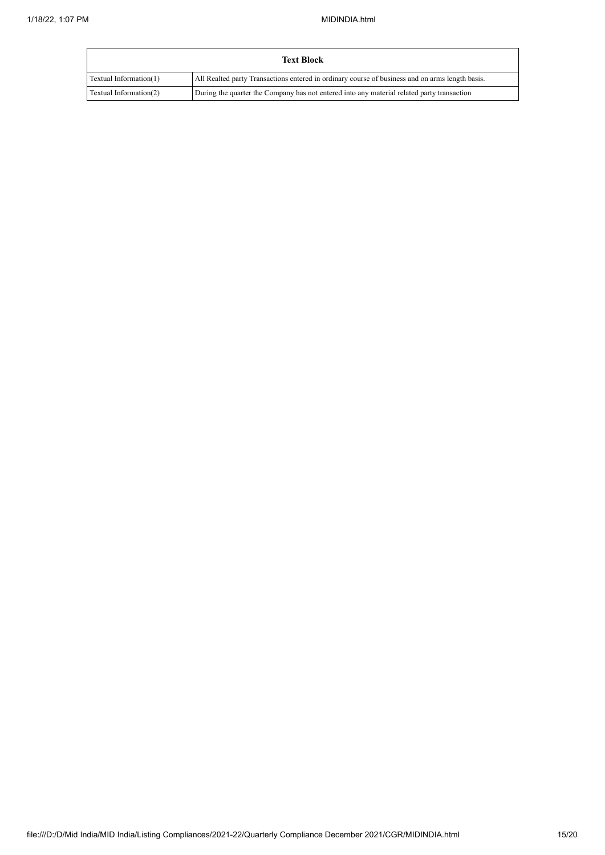| <b>Text Block</b>      |                                                                                                 |
|------------------------|-------------------------------------------------------------------------------------------------|
| Textual Information(1) | All Realted party Transactions entered in ordinary course of business and on arms length basis. |
| Textual Information(2) | During the quarter the Company has not entered into any material related party transaction      |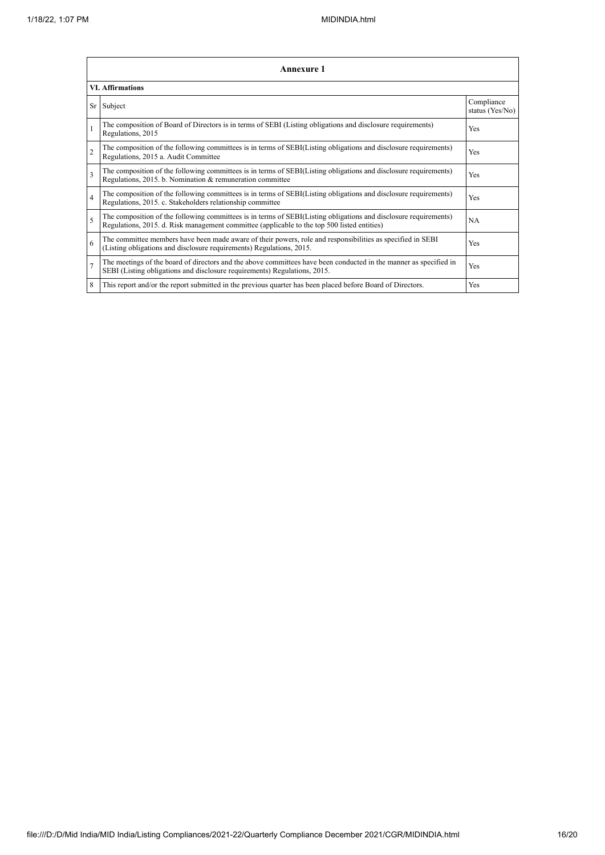|                          | <b>Annexure 1</b>                                                                                                                                                                                               |                               |  |  |  |
|--------------------------|-----------------------------------------------------------------------------------------------------------------------------------------------------------------------------------------------------------------|-------------------------------|--|--|--|
|                          | <b>VI. Affirmations</b>                                                                                                                                                                                         |                               |  |  |  |
| Sr                       | Subject                                                                                                                                                                                                         | Compliance<br>status (Yes/No) |  |  |  |
|                          | The composition of Board of Directors is in terms of SEBI (Listing obligations and disclosure requirements)<br>Regulations, 2015                                                                                | Yes                           |  |  |  |
| $\overline{2}$           | The composition of the following committees is in terms of SEBI(Listing obligations and disclosure requirements)<br>Regulations, 2015 a. Audit Committee                                                        | Yes                           |  |  |  |
| $\overline{\mathbf{3}}$  | The composition of the following committees is in terms of SEBI(Listing obligations and disclosure requirements)<br>Regulations, 2015. b. Nomination & remuneration committee                                   | Yes                           |  |  |  |
| $\overline{4}$           | The composition of the following committees is in terms of SEBI(Listing obligations and disclosure requirements)<br>Regulations, 2015. c. Stakeholders relationship committee                                   | Yes                           |  |  |  |
| $\overline{\phantom{0}}$ | The composition of the following committees is in terms of SEBI(Listing obligations and disclosure requirements)<br>Regulations, 2015. d. Risk management committee (applicable to the top 500 listed entities) | <b>NA</b>                     |  |  |  |
| 6                        | The committee members have been made aware of their powers, role and responsibilities as specified in SEBI<br>(Listing obligations and disclosure requirements) Regulations, 2015.                              | Yes                           |  |  |  |
| $\overline{7}$           | The meetings of the board of directors and the above committees have been conducted in the manner as specified in<br>SEBI (Listing obligations and disclosure requirements) Regulations, 2015.                  | <b>Yes</b>                    |  |  |  |
| 8                        | This report and/or the report submitted in the previous quarter has been placed before Board of Directors.                                                                                                      | <b>Yes</b>                    |  |  |  |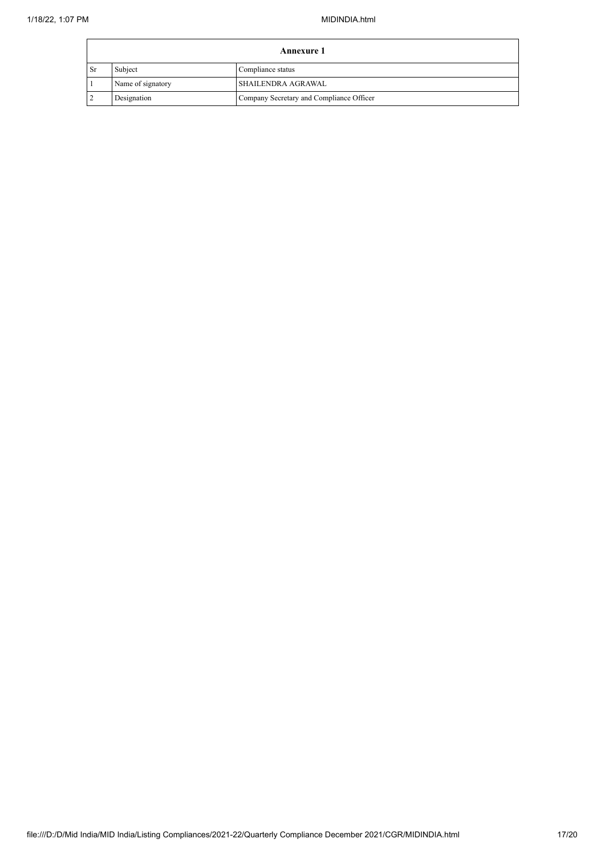| Annexure 1 |                   |                                          |
|------------|-------------------|------------------------------------------|
| 1 Sr       | Subject           | Compliance status                        |
|            | Name of signatory | SHAILENDRA AGRAWAL                       |
|            | Designation       | Company Secretary and Compliance Officer |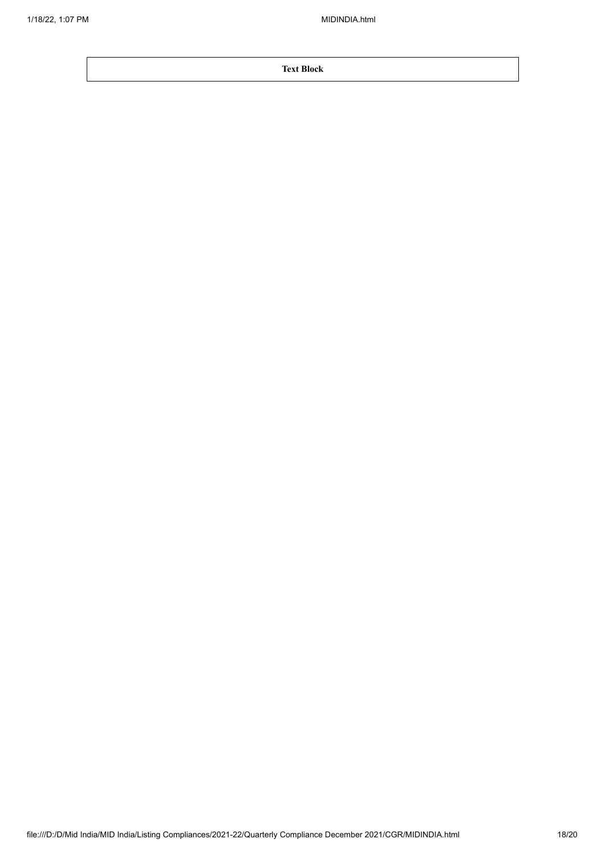**Text Block**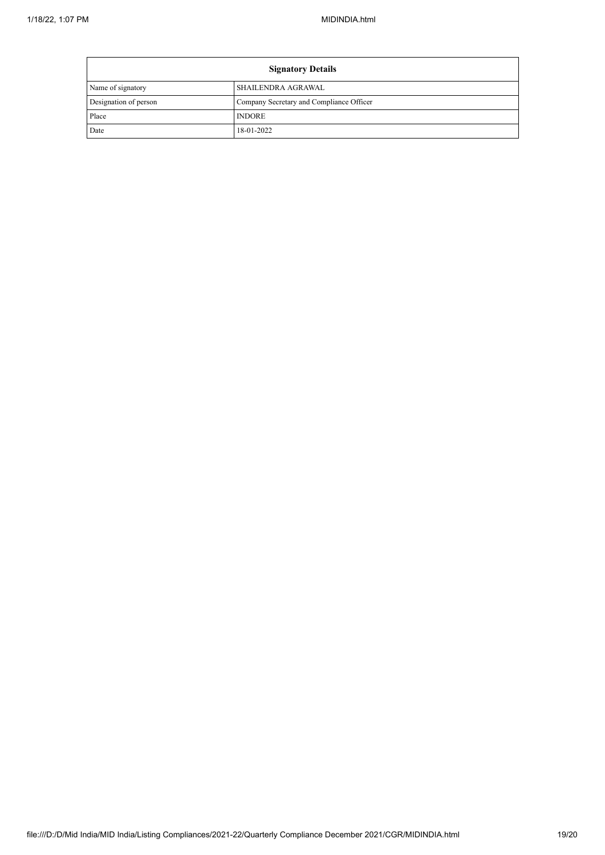$\mathbf{r}$ 

| <b>Signatory Details</b> |                                          |  |
|--------------------------|------------------------------------------|--|
| Name of signatory        | SHAILENDRA AGRAWAL                       |  |
| Designation of person    | Company Secretary and Compliance Officer |  |
| Place                    | <b>INDORE</b>                            |  |
| Date                     | 18-01-2022                               |  |